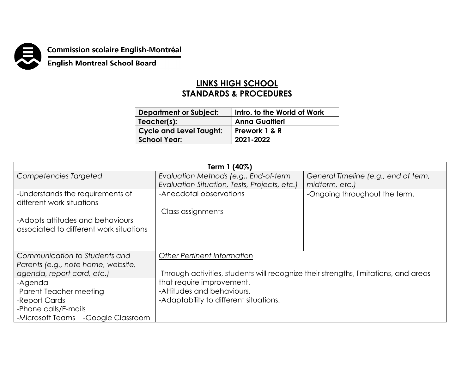

## **Commission scolaire English-Montréal<br>English Montreal School Board**

## **LINKS HIGH SCHOOL STANDARDS & PROCEDURES**

| <b>Department or Subject:</b>  | Intro. to the World of Work |
|--------------------------------|-----------------------------|
| Teacher(s):                    | <b>Anna Gualtieri</b>       |
| <b>Cycle and Level Taught:</b> | Prework 1 & R               |
| <b>School Year:</b>            | 2021-2022                   |

| Term 1 (40%)                            |                                                                                      |                                      |  |
|-----------------------------------------|--------------------------------------------------------------------------------------|--------------------------------------|--|
| Competencies Targeted                   | Evaluation Methods (e.g., End-of-term                                                | General Timeline (e.g., end of term, |  |
|                                         | Evaluation Situation, Tests, Projects, etc.)                                         | midterm, etc.)                       |  |
| -Understands the requirements of        | -Anecdotal observations                                                              | -Ongoing throughout the term.        |  |
| different work situations               |                                                                                      |                                      |  |
|                                         | -Class assignments                                                                   |                                      |  |
| -Adopts attitudes and behaviours        |                                                                                      |                                      |  |
| associated to different work situations |                                                                                      |                                      |  |
|                                         |                                                                                      |                                      |  |
|                                         |                                                                                      |                                      |  |
| Communication to Students and           | <b>Other Pertinent Information</b>                                                   |                                      |  |
| Parents (e.g., note home, website,      |                                                                                      |                                      |  |
| agenda, report card, etc.)              | -Through activities, students will recognize their strengths, limitations, and areas |                                      |  |
| -Agenda                                 | that require improvement.                                                            |                                      |  |
| -Parent-Teacher meeting                 | -Attitudes and behaviours.                                                           |                                      |  |
| -Report Cards                           | -Adaptability to different situations.                                               |                                      |  |
| -Phone calls/E-mails                    |                                                                                      |                                      |  |
| -Microsoft Teams<br>-Google Classroom   |                                                                                      |                                      |  |